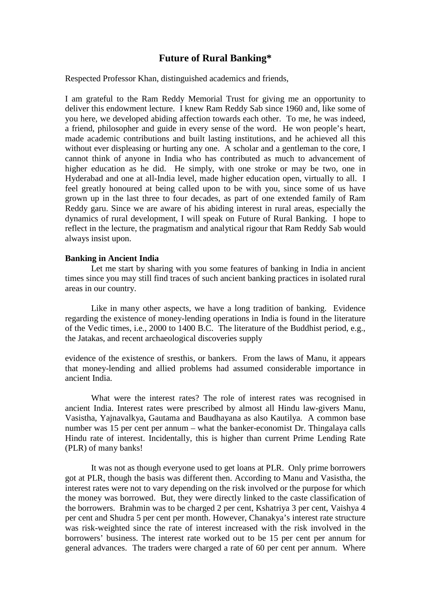# **Future of Rural Banking\***

Respected Professor Khan, distinguished academics and friends,

I am grateful to the Ram Reddy Memorial Trust for giving me an opportunity to deliver this endowment lecture. I knew Ram Reddy Sab since 1960 and, like some of you here, we developed abiding affection towards each other. To me, he was indeed, a friend, philosopher and guide in every sense of the word. He won people's heart, made academic contributions and built lasting institutions, and he achieved all this without ever displeasing or hurting any one. A scholar and a gentleman to the core, I cannot think of anyone in India who has contributed as much to advancement of higher education as he did. He simply, with one stroke or may be two, one in Hyderabad and one at all-India level, made higher education open, virtually to all. I feel greatly honoured at being called upon to be with you, since some of us have grown up in the last three to four decades, as part of one extended family of Ram Reddy garu. Since we are aware of his abiding interest in rural areas, especially the dynamics of rural development, I will speak on Future of Rural Banking. I hope to reflect in the lecture, the pragmatism and analytical rigour that Ram Reddy Sab would always insist upon.

#### **Banking in Ancient India**

Let me start by sharing with you some features of banking in India in ancient times since you may still find traces of such ancient banking practices in isolated rural areas in our country.

Like in many other aspects, we have a long tradition of banking. Evidence regarding the existence of money-lending operations in India is found in the literature of the Vedic times, i.e., 2000 to 1400 B.C. The literature of the Buddhist period, e.g., the Jatakas, and recent archaeological discoveries supply

evidence of the existence of sresthis, or bankers. From the laws of Manu, it appears that money-lending and allied problems had assumed considerable importance in ancient India.

What were the interest rates? The role of interest rates was recognised in ancient India. Interest rates were prescribed by almost all Hindu law-givers Manu, Vasistha, Yajnavalkya, Gautama and Baudhayana as also Kautilya. A common base number was 15 per cent per annum – what the banker-economist Dr. Thingalaya calls Hindu rate of interest. Incidentally, this is higher than current Prime Lending Rate (PLR) of many banks!

It was not as though everyone used to get loans at PLR. Only prime borrowers got at PLR, though the basis was different then. According to Manu and Vasistha, the interest rates were not to vary depending on the risk involved or the purpose for which the money was borrowed. But, they were directly linked to the caste classification of the borrowers. Brahmin was to be charged 2 per cent, Kshatriya 3 per cent, Vaishya 4 per cent and Shudra 5 per cent per month. However, Chanakya's interest rate structure was risk-weighted since the rate of interest increased with the risk involved in the borrowers' business. The interest rate worked out to be 15 per cent per annum for general advances. The traders were charged a rate of 60 per cent per annum. Where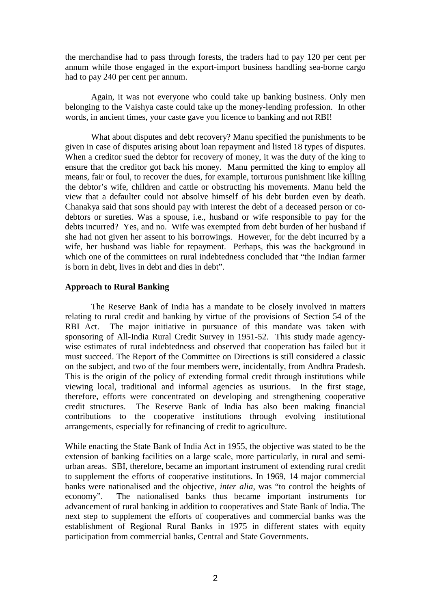the merchandise had to pass through forests, the traders had to pay 120 per cent per annum while those engaged in the export-import business handling sea-borne cargo had to pay 240 per cent per annum.

Again, it was not everyone who could take up banking business. Only men belonging to the Vaishya caste could take up the money-lending profession. In other words, in ancient times, your caste gave you licence to banking and not RBI!

What about disputes and debt recovery? Manu specified the punishments to be given in case of disputes arising about loan repayment and listed 18 types of disputes. When a creditor sued the debtor for recovery of money, it was the duty of the king to ensure that the creditor got back his money. Manu permitted the king to employ all means, fair or foul, to recover the dues, for example, torturous punishment like killing the debtor's wife, children and cattle or obstructing his movements. Manu held the view that a defaulter could not absolve himself of his debt burden even by death. Chanakya said that sons should pay with interest the debt of a deceased person or codebtors or sureties. Was a spouse, i.e., husband or wife responsible to pay for the debts incurred? Yes, and no. Wife was exempted from debt burden of her husband if she had not given her assent to his borrowings. However, for the debt incurred by a wife, her husband was liable for repayment. Perhaps, this was the background in which one of the committees on rural indebtedness concluded that "the Indian farmer is born in debt, lives in debt and dies in debt".

## **Approach to Rural Banking**

The Reserve Bank of India has a mandate to be closely involved in matters relating to rural credit and banking by virtue of the provisions of Section 54 of the RBI Act. The major initiative in pursuance of this mandate was taken with sponsoring of All-India Rural Credit Survey in 1951-52. This study made agencywise estimates of rural indebtedness and observed that cooperation has failed but it must succeed. The Report of the Committee on Directions is still considered a classic on the subject, and two of the four members were, incidentally, from Andhra Pradesh. This is the origin of the policy of extending formal credit through institutions while viewing local, traditional and informal agencies as usurious. In the first stage, therefore, efforts were concentrated on developing and strengthening cooperative credit structures. The Reserve Bank of India has also been making financial contributions to the cooperative institutions through evolving institutional arrangements, especially for refinancing of credit to agriculture.

While enacting the State Bank of India Act in 1955, the objective was stated to be the extension of banking facilities on a large scale, more particularly, in rural and semiurban areas. SBI, therefore, became an important instrument of extending rural credit to supplement the efforts of cooperative institutions. In 1969, 14 major commercial banks were nationalised and the objective, *inter alia*, was "to control the heights of economy". The nationalised banks thus became important instruments for advancement of rural banking in addition to cooperatives and State Bank of India. The next step to supplement the efforts of cooperatives and commercial banks was the establishment of Regional Rural Banks in 1975 in different states with equity participation from commercial banks, Central and State Governments.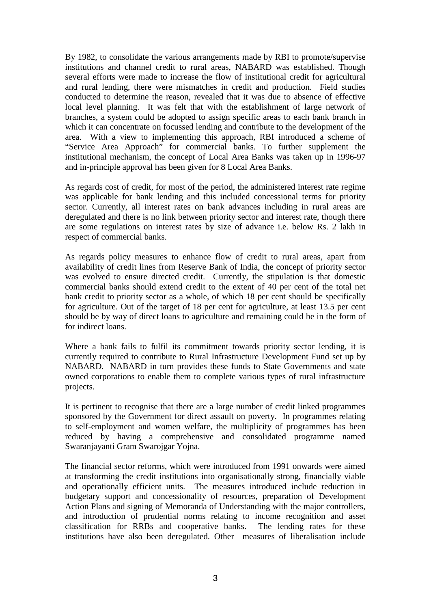By 1982, to consolidate the various arrangements made by RBI to promote/supervise institutions and channel credit to rural areas, NABARD was established. Though several efforts were made to increase the flow of institutional credit for agricultural and rural lending, there were mismatches in credit and production. Field studies conducted to determine the reason, revealed that it was due to absence of effective local level planning. It was felt that with the establishment of large network of branches, a system could be adopted to assign specific areas to each bank branch in which it can concentrate on focussed lending and contribute to the development of the area. With a view to implementing this approach, RBI introduced a scheme of "Service Area Approach" for commercial banks. To further supplement the institutional mechanism, the concept of Local Area Banks was taken up in 1996-97 and in-principle approval has been given for 8 Local Area Banks.

As regards cost of credit, for most of the period, the administered interest rate regime was applicable for bank lending and this included concessional terms for priority sector. Currently, all interest rates on bank advances including in rural areas are deregulated and there is no link between priority sector and interest rate, though there are some regulations on interest rates by size of advance i.e. below Rs. 2 lakh in respect of commercial banks.

As regards policy measures to enhance flow of credit to rural areas, apart from availability of credit lines from Reserve Bank of India, the concept of priority sector was evolved to ensure directed credit. Currently, the stipulation is that domestic commercial banks should extend credit to the extent of 40 per cent of the total net bank credit to priority sector as a whole, of which 18 per cent should be specifically for agriculture. Out of the target of 18 per cent for agriculture, at least 13.5 per cent should be by way of direct loans to agriculture and remaining could be in the form of for indirect loans.

Where a bank fails to fulfil its commitment towards priority sector lending, it is currently required to contribute to Rural Infrastructure Development Fund set up by NABARD. NABARD in turn provides these funds to State Governments and state owned corporations to enable them to complete various types of rural infrastructure projects.

It is pertinent to recognise that there are a large number of credit linked programmes sponsored by the Government for direct assault on poverty. In programmes relating to self-employment and women welfare, the multiplicity of programmes has been reduced by having a comprehensive and consolidated programme named Swaranjayanti Gram Swarojgar Yojna.

The financial sector reforms, which were introduced from 1991 onwards were aimed at transforming the credit institutions into organisationally strong, financially viable and operationally efficient units. The measures introduced include reduction in budgetary support and concessionality of resources, preparation of Development Action Plans and signing of Memoranda of Understanding with the major controllers, and introduction of prudential norms relating to income recognition and asset classification for RRBs and cooperative banks. The lending rates for these institutions have also been deregulated. Other measures of liberalisation include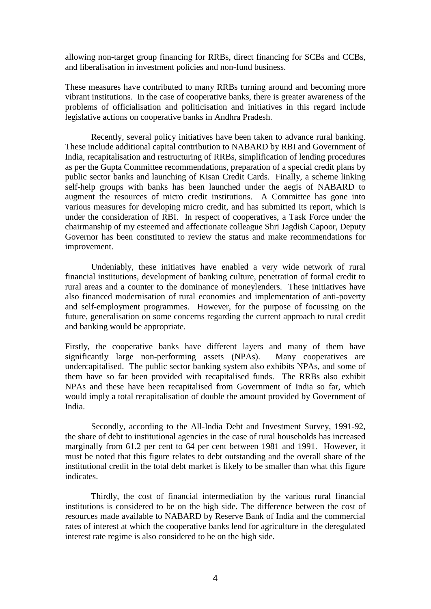allowing non-target group financing for RRBs, direct financing for SCBs and CCBs, and liberalisation in investment policies and non-fund business.

These measures have contributed to many RRBs turning around and becoming more vibrant institutions. In the case of cooperative banks, there is greater awareness of the problems of officialisation and politicisation and initiatives in this regard include legislative actions on cooperative banks in Andhra Pradesh.

Recently, several policy initiatives have been taken to advance rural banking. These include additional capital contribution to NABARD by RBI and Government of India, recapitalisation and restructuring of RRBs, simplification of lending procedures as per the Gupta Committee recommendations, preparation of a special credit plans by public sector banks and launching of Kisan Credit Cards. Finally, a scheme linking self-help groups with banks has been launched under the aegis of NABARD to augment the resources of micro credit institutions. A Committee has gone into various measures for developing micro credit, and has submitted its report, which is under the consideration of RBI. In respect of cooperatives, a Task Force under the chairmanship of my esteemed and affectionate colleague Shri Jagdish Capoor, Deputy Governor has been constituted to review the status and make recommendations for improvement.

Undeniably, these initiatives have enabled a very wide network of rural financial institutions, development of banking culture, penetration of formal credit to rural areas and a counter to the dominance of moneylenders. These initiatives have also financed modernisation of rural economies and implementation of anti-poverty and self-employment programmes. However, for the purpose of focussing on the future, generalisation on some concerns regarding the current approach to rural credit and banking would be appropriate.

Firstly, the cooperative banks have different layers and many of them have significantly large non-performing assets (NPAs). Many cooperatives are undercapitalised. The public sector banking system also exhibits NPAs, and some of them have so far been provided with recapitalised funds. The RRBs also exhibit NPAs and these have been recapitalised from Government of India so far, which would imply a total recapitalisation of double the amount provided by Government of India.

Secondly, according to the All-India Debt and Investment Survey, 1991-92, the share of debt to institutional agencies in the case of rural households has increased marginally from 61.2 per cent to 64 per cent between 1981 and 1991. However, it must be noted that this figure relates to debt outstanding and the overall share of the institutional credit in the total debt market is likely to be smaller than what this figure indicates.

Thirdly, the cost of financial intermediation by the various rural financial institutions is considered to be on the high side. The difference between the cost of resources made available to NABARD by Reserve Bank of India and the commercial rates of interest at which the cooperative banks lend for agriculture in the deregulated interest rate regime is also considered to be on the high side.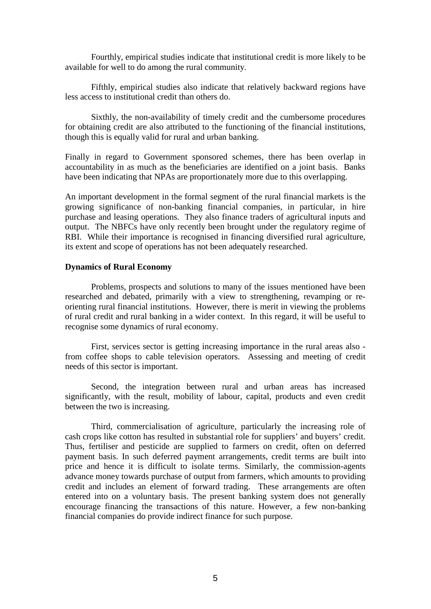Fourthly, empirical studies indicate that institutional credit is more likely to be available for well to do among the rural community.

Fifthly, empirical studies also indicate that relatively backward regions have less access to institutional credit than others do.

Sixthly, the non-availability of timely credit and the cumbersome procedures for obtaining credit are also attributed to the functioning of the financial institutions, though this is equally valid for rural and urban banking.

Finally in regard to Government sponsored schemes, there has been overlap in accountability in as much as the beneficiaries are identified on a joint basis. Banks have been indicating that NPAs are proportionately more due to this overlapping.

An important development in the formal segment of the rural financial markets is the growing significance of non-banking financial companies, in particular, in hire purchase and leasing operations. They also finance traders of agricultural inputs and output. The NBFCs have only recently been brought under the regulatory regime of RBI. While their importance is recognised in financing diversified rural agriculture, its extent and scope of operations has not been adequately researched.

# **Dynamics of Rural Economy**

Problems, prospects and solutions to many of the issues mentioned have been researched and debated, primarily with a view to strengthening, revamping or reorienting rural financial institutions. However, there is merit in viewing the problems of rural credit and rural banking in a wider context. In this regard, it will be useful to recognise some dynamics of rural economy.

First, services sector is getting increasing importance in the rural areas also from coffee shops to cable television operators. Assessing and meeting of credit needs of this sector is important.

Second, the integration between rural and urban areas has increased significantly, with the result, mobility of labour, capital, products and even credit between the two is increasing.

Third, commercialisation of agriculture, particularly the increasing role of cash crops like cotton has resulted in substantial role for suppliers' and buyers' credit. Thus, fertiliser and pesticide are supplied to farmers on credit, often on deferred payment basis. In such deferred payment arrangements, credit terms are built into price and hence it is difficult to isolate terms. Similarly, the commission-agents advance money towards purchase of output from farmers, which amounts to providing credit and includes an element of forward trading. These arrangements are often entered into on a voluntary basis. The present banking system does not generally encourage financing the transactions of this nature. However, a few non-banking financial companies do provide indirect finance for such purpose.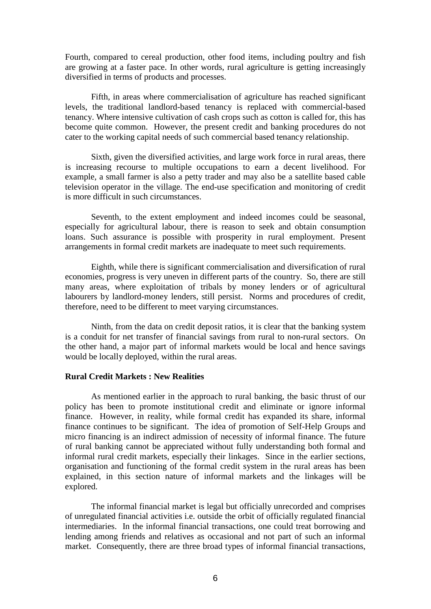Fourth, compared to cereal production, other food items, including poultry and fish are growing at a faster pace. In other words, rural agriculture is getting increasingly diversified in terms of products and processes.

Fifth, in areas where commercialisation of agriculture has reached significant levels, the traditional landlord-based tenancy is replaced with commercial-based tenancy. Where intensive cultivation of cash crops such as cotton is called for, this has become quite common. However, the present credit and banking procedures do not cater to the working capital needs of such commercial based tenancy relationship.

Sixth, given the diversified activities, and large work force in rural areas, there is increasing recourse to multiple occupations to earn a decent livelihood. For example, a small farmer is also a petty trader and may also be a satellite based cable television operator in the village. The end-use specification and monitoring of credit is more difficult in such circumstances.

Seventh, to the extent employment and indeed incomes could be seasonal, especially for agricultural labour, there is reason to seek and obtain consumption loans. Such assurance is possible with prosperity in rural employment. Present arrangements in formal credit markets are inadequate to meet such requirements.

Eighth, while there is significant commercialisation and diversification of rural economies, progress is very uneven in different parts of the country. So, there are still many areas, where exploitation of tribals by money lenders or of agricultural labourers by landlord-money lenders, still persist. Norms and procedures of credit, therefore, need to be different to meet varying circumstances.

Ninth, from the data on credit deposit ratios, it is clear that the banking system is a conduit for net transfer of financial savings from rural to non-rural sectors. On the other hand, a major part of informal markets would be local and hence savings would be locally deployed, within the rural areas.

## **Rural Credit Markets : New Realities**

As mentioned earlier in the approach to rural banking, the basic thrust of our policy has been to promote institutional credit and eliminate or ignore informal finance. However, in reality, while formal credit has expanded its share, informal finance continues to be significant. The idea of promotion of Self-Help Groups and micro financing is an indirect admission of necessity of informal finance. The future of rural banking cannot be appreciated without fully understanding both formal and informal rural credit markets, especially their linkages. Since in the earlier sections, organisation and functioning of the formal credit system in the rural areas has been explained, in this section nature of informal markets and the linkages will be explored.

The informal financial market is legal but officially unrecorded and comprises of unregulated financial activities i.e. outside the orbit of officially regulated financial intermediaries. In the informal financial transactions, one could treat borrowing and lending among friends and relatives as occasional and not part of such an informal market. Consequently, there are three broad types of informal financial transactions,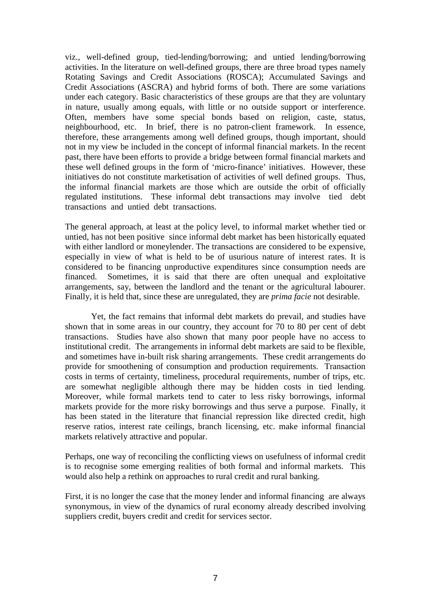viz., well-defined group, tied-lending/borrowing; and untied lending/borrowing activities. In the literature on well-defined groups, there are three broad types namely Rotating Savings and Credit Associations (ROSCA); Accumulated Savings and Credit Associations (ASCRA) and hybrid forms of both. There are some variations under each category. Basic characteristics of these groups are that they are voluntary in nature, usually among equals, with little or no outside support or interference. Often, members have some special bonds based on religion, caste, status, neighbourhood, etc. In brief, there is no patron-client framework. In essence, therefore, these arrangements among well defined groups, though important, should not in my view be included in the concept of informal financial markets. In the recent past, there have been efforts to provide a bridge between formal financial markets and these well defined groups in the form of 'micro-finance' initiatives. However, these initiatives do not constitute marketisation of activities of well defined groups. Thus, the informal financial markets are those which are outside the orbit of officially regulated institutions. These informal debt transactions may involve tied debt transactions and untied debt transactions.

The general approach, at least at the policy level, to informal market whether tied or untied, has not been positive since informal debt market has been historically equated with either landlord or moneylender. The transactions are considered to be expensive, especially in view of what is held to be of usurious nature of interest rates. It is considered to be financing unproductive expenditures since consumption needs are financed. Sometimes, it is said that there are often unequal and exploitative arrangements, say, between the landlord and the tenant or the agricultural labourer. Finally, it is held that, since these are unregulated, they are *prima facie* not desirable.

Yet, the fact remains that informal debt markets do prevail, and studies have shown that in some areas in our country, they account for 70 to 80 per cent of debt transactions. Studies have also shown that many poor people have no access to institutional credit. The arrangements in informal debt markets are said to be flexible, and sometimes have in-built risk sharing arrangements. These credit arrangements do provide for smoothening of consumption and production requirements. Transaction costs in terms of certainty, timeliness, procedural requirements, number of trips, etc. are somewhat negligible although there may be hidden costs in tied lending. Moreover, while formal markets tend to cater to less risky borrowings, informal markets provide for the more risky borrowings and thus serve a purpose. Finally, it has been stated in the literature that financial repression like directed credit, high reserve ratios, interest rate ceilings, branch licensing, etc. make informal financial markets relatively attractive and popular.

Perhaps, one way of reconciling the conflicting views on usefulness of informal credit is to recognise some emerging realities of both formal and informal markets. This would also help a rethink on approaches to rural credit and rural banking.

First, it is no longer the case that the money lender and informal financing are always synonymous, in view of the dynamics of rural economy already described involving suppliers credit, buyers credit and credit for services sector.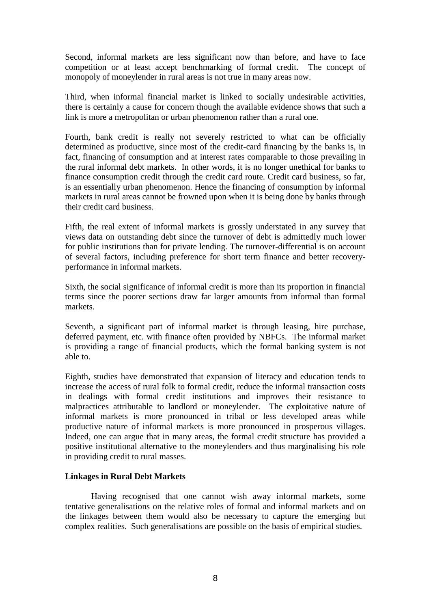Second, informal markets are less significant now than before, and have to face competition or at least accept benchmarking of formal credit. The concept of monopoly of moneylender in rural areas is not true in many areas now.

Third, when informal financial market is linked to socially undesirable activities, there is certainly a cause for concern though the available evidence shows that such a link is more a metropolitan or urban phenomenon rather than a rural one.

Fourth, bank credit is really not severely restricted to what can be officially determined as productive, since most of the credit-card financing by the banks is, in fact, financing of consumption and at interest rates comparable to those prevailing in the rural informal debt markets. In other words, it is no longer unethical for banks to finance consumption credit through the credit card route. Credit card business, so far, is an essentially urban phenomenon. Hence the financing of consumption by informal markets in rural areas cannot be frowned upon when it is being done by banks through their credit card business.

Fifth, the real extent of informal markets is grossly understated in any survey that views data on outstanding debt since the turnover of debt is admittedly much lower for public institutions than for private lending. The turnover-differential is on account of several factors, including preference for short term finance and better recoveryperformance in informal markets.

Sixth, the social significance of informal credit is more than its proportion in financial terms since the poorer sections draw far larger amounts from informal than formal markets.

Seventh, a significant part of informal market is through leasing, hire purchase, deferred payment, etc. with finance often provided by NBFCs. The informal market is providing a range of financial products, which the formal banking system is not able to.

Eighth, studies have demonstrated that expansion of literacy and education tends to increase the access of rural folk to formal credit, reduce the informal transaction costs in dealings with formal credit institutions and improves their resistance to malpractices attributable to landlord or moneylender. The exploitative nature of informal markets is more pronounced in tribal or less developed areas while productive nature of informal markets is more pronounced in prosperous villages. Indeed, one can argue that in many areas, the formal credit structure has provided a positive institutional alternative to the moneylenders and thus marginalising his role in providing credit to rural masses.

# **Linkages in Rural Debt Markets**

Having recognised that one cannot wish away informal markets, some tentative generalisations on the relative roles of formal and informal markets and on the linkages between them would also be necessary to capture the emerging but complex realities. Such generalisations are possible on the basis of empirical studies.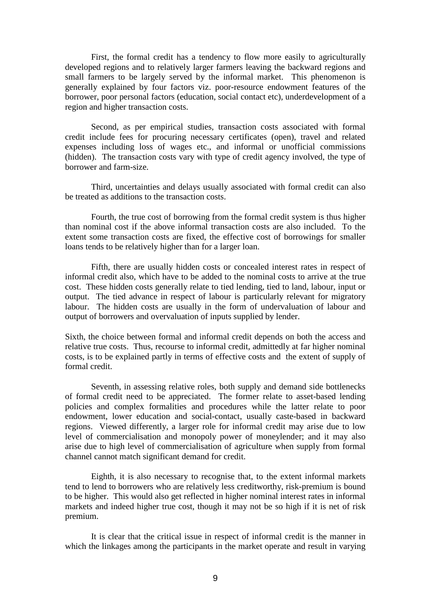First, the formal credit has a tendency to flow more easily to agriculturally developed regions and to relatively larger farmers leaving the backward regions and small farmers to be largely served by the informal market. This phenomenon is generally explained by four factors viz. poor-resource endowment features of the borrower, poor personal factors (education, social contact etc), underdevelopment of a region and higher transaction costs.

Second, as per empirical studies, transaction costs associated with formal credit include fees for procuring necessary certificates (open), travel and related expenses including loss of wages etc., and informal or unofficial commissions (hidden). The transaction costs vary with type of credit agency involved, the type of borrower and farm-size.

Third, uncertainties and delays usually associated with formal credit can also be treated as additions to the transaction costs.

Fourth, the true cost of borrowing from the formal credit system is thus higher than nominal cost if the above informal transaction costs are also included. To the extent some transaction costs are fixed, the effective cost of borrowings for smaller loans tends to be relatively higher than for a larger loan.

Fifth, there are usually hidden costs or concealed interest rates in respect of informal credit also, which have to be added to the nominal costs to arrive at the true cost. These hidden costs generally relate to tied lending, tied to land, labour, input or output. The tied advance in respect of labour is particularly relevant for migratory labour. The hidden costs are usually in the form of undervaluation of labour and output of borrowers and overvaluation of inputs supplied by lender.

Sixth, the choice between formal and informal credit depends on both the access and relative true costs. Thus, recourse to informal credit, admittedly at far higher nominal costs, is to be explained partly in terms of effective costs and the extent of supply of formal credit.

Seventh, in assessing relative roles, both supply and demand side bottlenecks of formal credit need to be appreciated. The former relate to asset-based lending policies and complex formalities and procedures while the latter relate to poor endowment, lower education and social-contact, usually caste-based in backward regions. Viewed differently, a larger role for informal credit may arise due to low level of commercialisation and monopoly power of moneylender; and it may also arise due to high level of commercialisation of agriculture when supply from formal channel cannot match significant demand for credit.

Eighth, it is also necessary to recognise that, to the extent informal markets tend to lend to borrowers who are relatively less creditworthy, risk-premium is bound to be higher. This would also get reflected in higher nominal interest rates in informal markets and indeed higher true cost, though it may not be so high if it is net of risk premium.

It is clear that the critical issue in respect of informal credit is the manner in which the linkages among the participants in the market operate and result in varying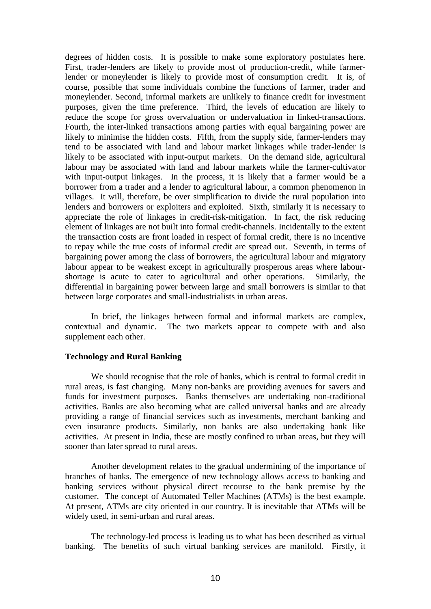degrees of hidden costs. It is possible to make some exploratory postulates here. First, trader-lenders are likely to provide most of production-credit, while farmerlender or moneylender is likely to provide most of consumption credit. It is, of course, possible that some individuals combine the functions of farmer, trader and moneylender. Second, informal markets are unlikely to finance credit for investment purposes, given the time preference. Third, the levels of education are likely to reduce the scope for gross overvaluation or undervaluation in linked-transactions. Fourth, the inter-linked transactions among parties with equal bargaining power are likely to minimise the hidden costs. Fifth, from the supply side, farmer-lenders may tend to be associated with land and labour market linkages while trader-lender is likely to be associated with input-output markets. On the demand side, agricultural labour may be associated with land and labour markets while the farmer-cultivator with input-output linkages. In the process, it is likely that a farmer would be a borrower from a trader and a lender to agricultural labour, a common phenomenon in villages. It will, therefore, be over simplification to divide the rural population into lenders and borrowers or exploiters and exploited. Sixth, similarly it is necessary to appreciate the role of linkages in credit-risk-mitigation. In fact, the risk reducing element of linkages are not built into formal credit-channels. Incidentally to the extent the transaction costs are front loaded in respect of formal credit, there is no incentive to repay while the true costs of informal credit are spread out. Seventh, in terms of bargaining power among the class of borrowers, the agricultural labour and migratory labour appear to be weakest except in agriculturally prosperous areas where labourshortage is acute to cater to agricultural and other operations. Similarly, the differential in bargaining power between large and small borrowers is similar to that between large corporates and small-industrialists in urban areas.

In brief, the linkages between formal and informal markets are complex, contextual and dynamic. The two markets appear to compete with and also supplement each other.

#### **Technology and Rural Banking**

We should recognise that the role of banks, which is central to formal credit in rural areas, is fast changing. Many non-banks are providing avenues for savers and funds for investment purposes. Banks themselves are undertaking non-traditional activities. Banks are also becoming what are called universal banks and are already providing a range of financial services such as investments, merchant banking and even insurance products. Similarly, non banks are also undertaking bank like activities. At present in India, these are mostly confined to urban areas, but they will sooner than later spread to rural areas.

Another development relates to the gradual undermining of the importance of branches of banks. The emergence of new technology allows access to banking and banking services without physical direct recourse to the bank premise by the customer. The concept of Automated Teller Machines (ATMs) is the best example. At present, ATMs are city oriented in our country. It is inevitable that ATMs will be widely used, in semi-urban and rural areas.

The technology-led process is leading us to what has been described as virtual banking. The benefits of such virtual banking services are manifold. Firstly, it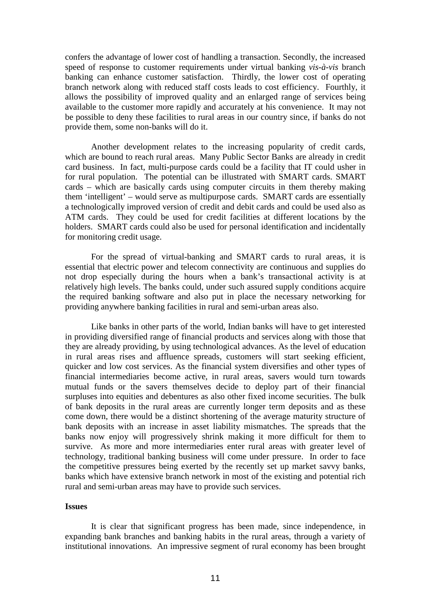confers the advantage of lower cost of handling a transaction. Secondly, the increased speed of response to customer requirements under virtual banking *vis-à-vis* branch banking can enhance customer satisfaction. Thirdly, the lower cost of operating branch network along with reduced staff costs leads to cost efficiency. Fourthly, it allows the possibility of improved quality and an enlarged range of services being available to the customer more rapidly and accurately at his convenience. It may not be possible to deny these facilities to rural areas in our country since, if banks do not provide them, some non-banks will do it.

Another development relates to the increasing popularity of credit cards, which are bound to reach rural areas. Many Public Sector Banks are already in credit card business. In fact, multi-purpose cards could be a facility that IT could usher in for rural population. The potential can be illustrated with SMART cards. SMART cards – which are basically cards using computer circuits in them thereby making them 'intelligent' – would serve as multipurpose cards. SMART cards are essentially a technologically improved version of credit and debit cards and could be used also as ATM cards. They could be used for credit facilities at different locations by the holders. SMART cards could also be used for personal identification and incidentally for monitoring credit usage.

For the spread of virtual-banking and SMART cards to rural areas, it is essential that electric power and telecom connectivity are continuous and supplies do not drop especially during the hours when a bank's transactional activity is at relatively high levels. The banks could, under such assured supply conditions acquire the required banking software and also put in place the necessary networking for providing anywhere banking facilities in rural and semi-urban areas also.

Like banks in other parts of the world, Indian banks will have to get interested in providing diversified range of financial products and services along with those that they are already providing, by using technological advances. As the level of education in rural areas rises and affluence spreads, customers will start seeking efficient, quicker and low cost services. As the financial system diversifies and other types of financial intermediaries become active, in rural areas, savers would turn towards mutual funds or the savers themselves decide to deploy part of their financial surpluses into equities and debentures as also other fixed income securities. The bulk of bank deposits in the rural areas are currently longer term deposits and as these come down, there would be a distinct shortening of the average maturity structure of bank deposits with an increase in asset liability mismatches. The spreads that the banks now enjoy will progressively shrink making it more difficult for them to survive. As more and more intermediaries enter rural areas with greater level of technology, traditional banking business will come under pressure. In order to face the competitive pressures being exerted by the recently set up market savvy banks, banks which have extensive branch network in most of the existing and potential rich rural and semi-urban areas may have to provide such services.

## **Issues**

It is clear that significant progress has been made, since independence, in expanding bank branches and banking habits in the rural areas, through a variety of institutional innovations. An impressive segment of rural economy has been brought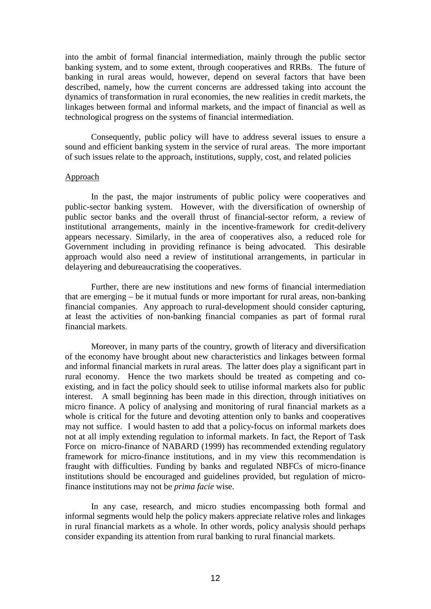into the ambit of formal financial intermediation, mainly through the public sector banking system, and to some extent, through cooperatives and RRBs. The future of banking in rural areas would, however, depend on several factors that have been described, namely, how the current concerns are addressed taking into account the dynamics of transformation in rural economies, the new realities in credit markets, the linkages between formal and informal markets, and the impact of financial as well as technological progress on the systems of financial intermediation.

Consequently, public policy will have to address several issues to ensure a sound and efficient banking system in the service of rural areas. The more important of such issues relate to the approach, institutions, supply, cost, and related policies

#### Approach

In the past, the major instruments of public policy were cooperatives and public-sector banking system. However, with the diversification of ownership of public sector banks and the overall thrust of financial-sector reform, a review of institutional arrangements, mainly in the incentive-framework for credit-delivery appears necessary. Similarly, in the area of cooperatives also, a reduced role for Government including in providing refinance is being advocated. This desirable approach would also need a review of institutional arrangements, in particular in delayering and debureaucratising the cooperatives.

Further, there are new institutions and new forms of financial intermediation that are emerging – be it mutual funds or more important for rural areas, non-banking financial companies. Any approach to rural-development should consider capturing, at least the activities of non-banking financial companies as part of formal rural financial markets.

Moreover, in many parts of the country, growth of literacy and diversification of the economy have brought about new characteristics and linkages between formal and informal financial markets in rural areas. The latter does play a significant part in rural economy. Hence the two markets should be treated as competing and coexisting, and in fact the policy should seek to utilise informal markets also for public interest. A small beginning has been made in this direction, through initiatives on micro finance. A policy of analysing and monitoring of rural financial markets as a whole is critical for the future and devoting attention only to banks and cooperatives may not suffice. I would hasten to add that a policy-focus on informal markets does not at all imply extending regulation to informal markets. In fact, the Report of Task Force on micro-finance of NABARD (1999) has recommended extending regulatory framework for micro-finance institutions, and in my view this recommendation is fraught with difficulties. Funding by banks and regulated NBFCs of micro-finance institutions should be encouraged and guidelines provided, but regulation of microfinance institutions may not be *prima facie* wise.

In any case, research, and micro studies encompassing both formal and informal segments would help the policy makers appreciate relative roles and linkages in rural financial markets as a whole. In other words, policy analysis should perhaps consider expanding its attention from rural banking to rural financial markets.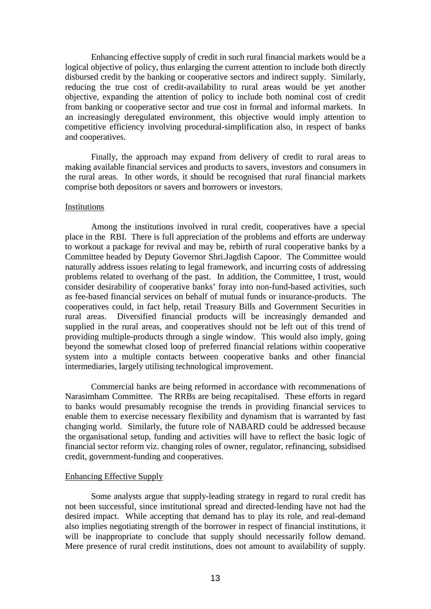Enhancing effective supply of credit in such rural financial markets would be a logical objective of policy, thus enlarging the current attention to include both directly disbursed credit by the banking or cooperative sectors and indirect supply. Similarly, reducing the true cost of credit-availability to rural areas would be yet another objective, expanding the attention of policy to include both nominal cost of credit from banking or cooperative sector and true cost in formal and informal markets. In an increasingly deregulated environment, this objective would imply attention to competitive efficiency involving procedural-simplification also, in respect of banks and cooperatives.

Finally, the approach may expand from delivery of credit to rural areas to making available financial services and products to savers, investors and consumers in the rural areas. In other words, it should be recognised that rural financial markets comprise both depositors or savers and borrowers or investors.

#### Institutions

Among the institutions involved in rural credit, cooperatives have a special place in the RBI. There is full appreciation of the problems and efforts are underway to workout a package for revival and may be, rebirth of rural cooperative banks by a Committee headed by Deputy Governor Shri.Jagdish Capoor. The Committee would naturally address issues relating to legal framework, and incurring costs of addressing problems related to overhang of the past. In addition, the Committee, I trust, would consider desirability of cooperative banks' foray into non-fund-based activities, such as fee-based financial services on behalf of mutual funds or insurance-products. The cooperatives could, in fact help, retail Treasury Bills and Government Securities in rural areas. Diversified financial products will be increasingly demanded and supplied in the rural areas, and cooperatives should not be left out of this trend of providing multiple-products through a single window. This would also imply, going beyond the somewhat closed loop of preferred financial relations within cooperative system into a multiple contacts between cooperative banks and other financial intermediaries, largely utilising technological improvement.

Commercial banks are being reformed in accordance with recommenations of Narasimham Committee. The RRBs are being recapitalised. These efforts in regard to banks would presumably recognise the trends in providing financial services to enable them to exercise necessary flexibility and dynamism that is warranted by fast changing world. Similarly, the future role of NABARD could be addressed because the organisational setup, funding and activities will have to reflect the basic logic of financial sector reform viz. changing roles of owner, regulator, refinancing, subsidised credit, government-funding and cooperatives.

#### Enhancing Effective Supply

Some analysts argue that supply-leading strategy in regard to rural credit has not been successful, since institutional spread and directed-lending have not had the desired impact. While accepting that demand has to play its role, and real-demand also implies negotiating strength of the borrower in respect of financial institutions, it will be inappropriate to conclude that supply should necessarily follow demand. Mere presence of rural credit institutions, does not amount to availability of supply.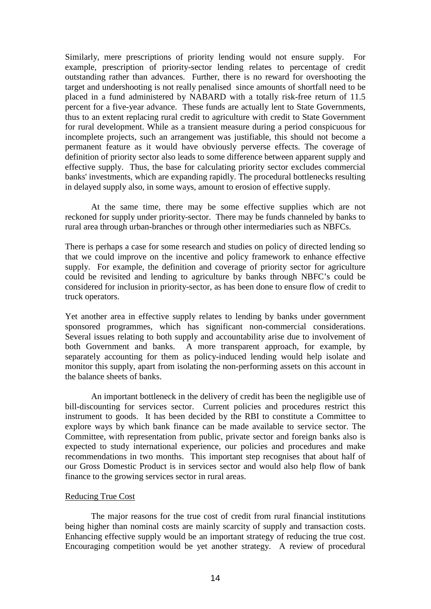Similarly, mere prescriptions of priority lending would not ensure supply. For example, prescription of priority-sector lending relates to percentage of credit outstanding rather than advances. Further, there is no reward for overshooting the target and undershooting is not really penalised since amounts of shortfall need to be placed in a fund administered by NABARD with a totally risk-free return of 11.5 percent for a five-year advance. These funds are actually lent to State Governments, thus to an extent replacing rural credit to agriculture with credit to State Government for rural development. While as a transient measure during a period conspicuous for incomplete projects, such an arrangement was justifiable, this should not become a permanent feature as it would have obviously perverse effects. The coverage of definition of priority sector also leads to some difference between apparent supply and effective supply. Thus, the base for calculating priority sector excludes commercial banks' investments, which are expanding rapidly. The procedural bottlenecks resulting in delayed supply also, in some ways, amount to erosion of effective supply.

At the same time, there may be some effective supplies which are not reckoned for supply under priority-sector. There may be funds channeled by banks to rural area through urban-branches or through other intermediaries such as NBFCs.

There is perhaps a case for some research and studies on policy of directed lending so that we could improve on the incentive and policy framework to enhance effective supply. For example, the definition and coverage of priority sector for agriculture could be revisited and lending to agriculture by banks through NBFC's could be considered for inclusion in priority-sector, as has been done to ensure flow of credit to truck operators.

Yet another area in effective supply relates to lending by banks under government sponsored programmes, which has significant non-commercial considerations. Several issues relating to both supply and accountability arise due to involvement of both Government and banks. A more transparent approach, for example, by separately accounting for them as policy-induced lending would help isolate and monitor this supply, apart from isolating the non-performing assets on this account in the balance sheets of banks.

An important bottleneck in the delivery of credit has been the negligible use of bill-discounting for services sector. Current policies and procedures restrict this instrument to goods. It has been decided by the RBI to constitute a Committee to explore ways by which bank finance can be made available to service sector. The Committee, with representation from public, private sector and foreign banks also is expected to study international experience, our policies and procedures and make recommendations in two months. This important step recognises that about half of our Gross Domestic Product is in services sector and would also help flow of bank finance to the growing services sector in rural areas.

# Reducing True Cost

The major reasons for the true cost of credit from rural financial institutions being higher than nominal costs are mainly scarcity of supply and transaction costs. Enhancing effective supply would be an important strategy of reducing the true cost. Encouraging competition would be yet another strategy. A review of procedural